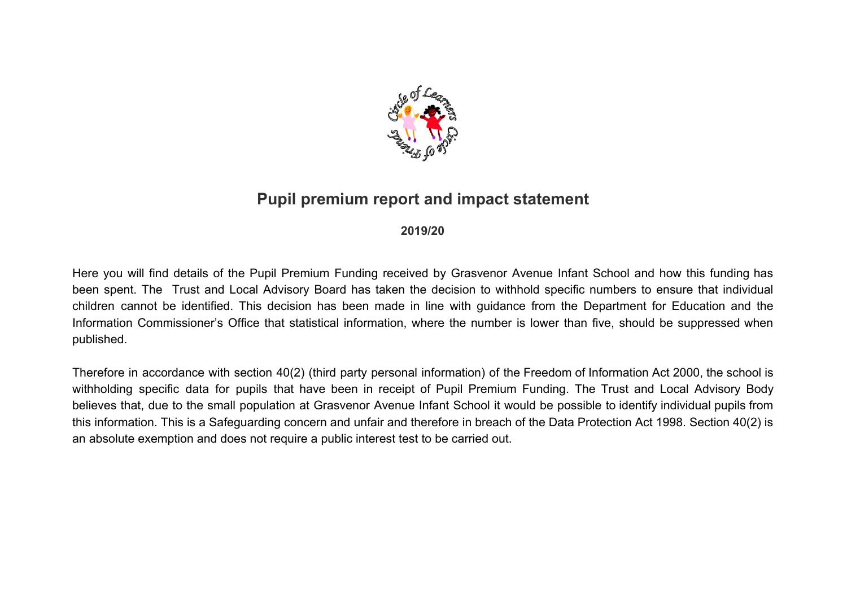

# **Pupil premium report and impact statement**

### **2019/20**

Here you will find details of the Pupil Premium Funding received by Grasvenor Avenue Infant School and how this funding has been spent. The Trust and Local Advisory Board has taken the decision to withhold specific numbers to ensure that individual children cannot be identified. This decision has been made in line with guidance from the Department for Education and the Information Commissioner's Office that statistical information, where the number is lower than five, should be suppressed when published.

Therefore in accordance with section 40(2) (third party personal information) of the Freedom of Information Act 2000, the school is withholding specific data for pupils that have been in receipt of Pupil Premium Funding. The Trust and Local Advisory Body believes that, due to the small population at Grasvenor Avenue Infant School it would be possible to identify individual pupils from this information. This is a Safeguarding concern and unfair and therefore in breach of the Data Protection Act 1998. Section 40(2) is an absolute exemption and does not require a public interest test to be carried out.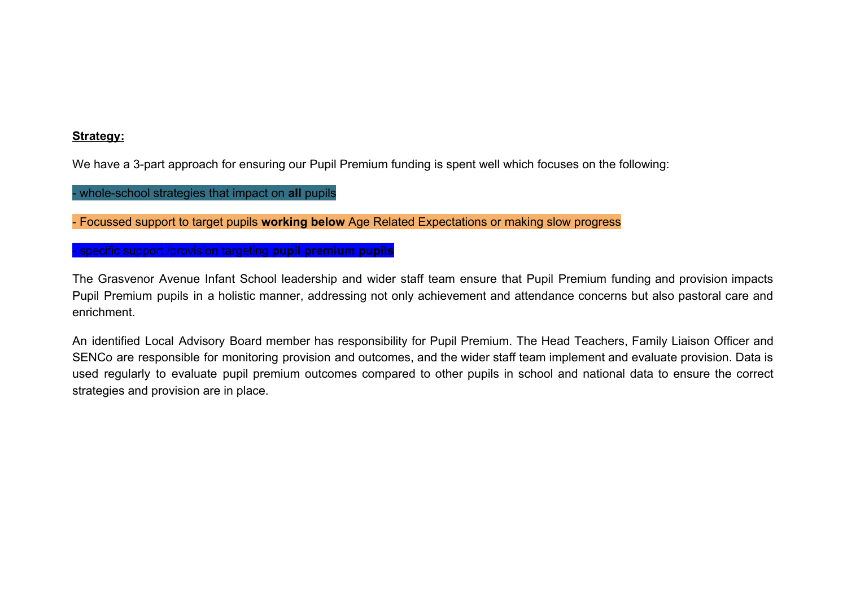### **Strategy:**

We have a 3-part approach for ensuring our Pupil Premium funding is spent well which focuses on the following:

- whole-school strategies that impact on **all** pupils

- Focussed support to target pupils **working below** Age Related Expectations or making slow progress

- specific support /provision targeting **pupil premium pupils**

The Grasvenor Avenue Infant School leadership and wider staff team ensure that Pupil Premium funding and provision impacts Pupil Premium pupils in a holistic manner, addressing not only achievement and attendance concerns but also pastoral care and enrichment.

An identified Local Advisory Board member has responsibility for Pupil Premium. The Head Teachers, Family Liaison Officer and SENCo are responsible for monitoring provision and outcomes, and the wider staff team implement and evaluate provision. Data is used regularly to evaluate pupil premium outcomes compared to other pupils in school and national data to ensure the correct strategies and provision are in place.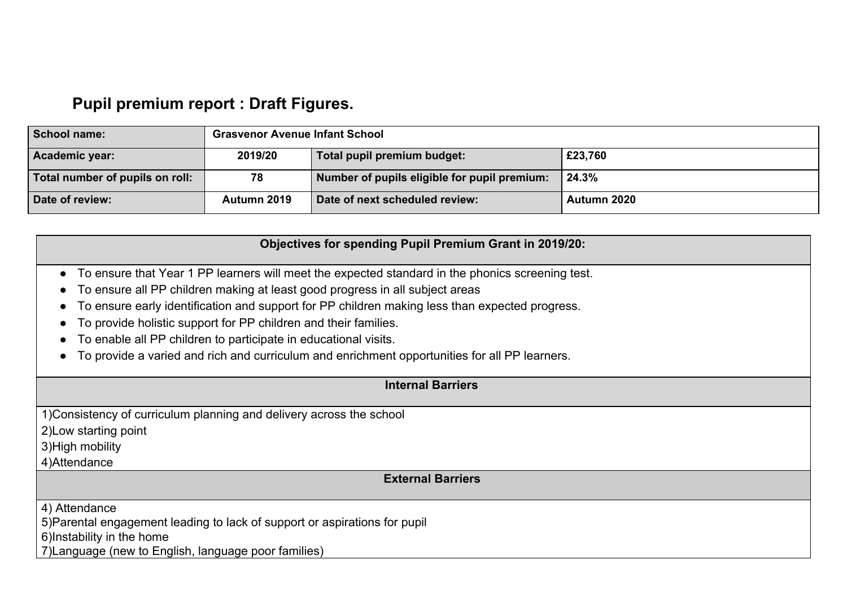# **Pupil premium report : Draft Figures.**

| School name:                    | <b>Grasvenor Avenue Infant School</b> |                                              |             |  |
|---------------------------------|---------------------------------------|----------------------------------------------|-------------|--|
| Academic year:                  | 2019/20                               | Total pupil premium budget:                  | £23,760     |  |
| Total number of pupils on roll: | 78                                    | Number of pupils eligible for pupil premium: | 24.3%       |  |
| Date of review:                 | Autumn 2019                           | Date of next scheduled review:               | Autumn 2020 |  |

### **Objectives for spending Pupil Premium Grant in 2019/20:**

- To ensure that Year 1 PP learners will meet the expected standard in the phonics screening test.
- To ensure all PP children making at least good progress in all subject areas
- To ensure early identification and support for PP children making less than expected progress.
- To provide holistic support for PP children and their families.
- To enable all PP children to participate in educational visits.
- To provide a varied and rich and curriculum and enrichment opportunities for all PP learners.

### **Internal Barriers**

1)Consistency of curriculum planning and delivery across the school

2)Low starting point

3)High mobility

4)Attendance

**External Barriers**

4) Attendance

5)Parental engagement leading to lack of support or aspirations for pupil

6)Instability in the home

7)Language (new to English, language poor families)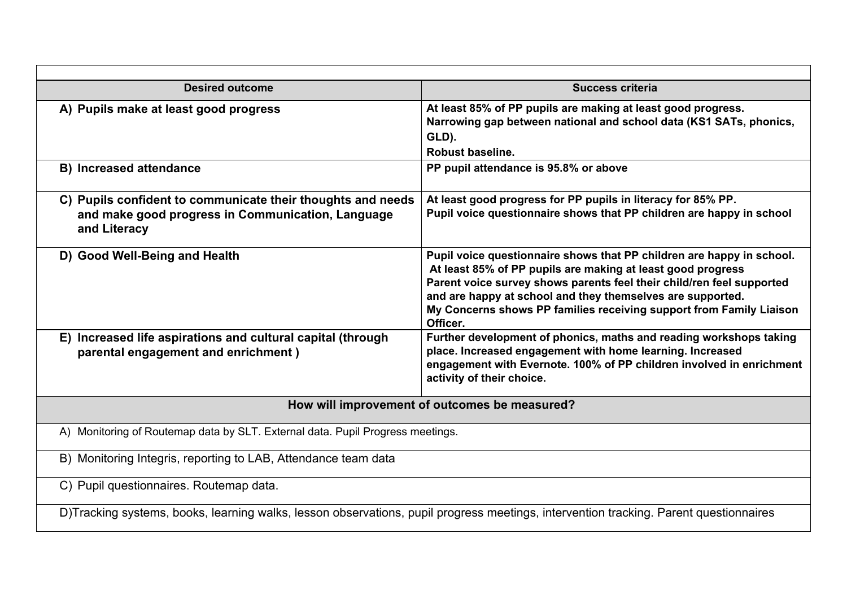| <b>Desired outcome</b>                                                                                                                | <b>Success criteria</b>                                                                                                                                                                                                                                                                                                                                        |
|---------------------------------------------------------------------------------------------------------------------------------------|----------------------------------------------------------------------------------------------------------------------------------------------------------------------------------------------------------------------------------------------------------------------------------------------------------------------------------------------------------------|
| A) Pupils make at least good progress                                                                                                 | At least 85% of PP pupils are making at least good progress.<br>Narrowing gap between national and school data (KS1 SATs, phonics,<br>GLD).<br>Robust baseline.                                                                                                                                                                                                |
| <b>B)</b> Increased attendance                                                                                                        | PP pupil attendance is 95.8% or above                                                                                                                                                                                                                                                                                                                          |
| C) Pupils confident to communicate their thoughts and needs<br>and make good progress in Communication, Language<br>and Literacy      | At least good progress for PP pupils in literacy for 85% PP.<br>Pupil voice questionnaire shows that PP children are happy in school                                                                                                                                                                                                                           |
| D) Good Well-Being and Health                                                                                                         | Pupil voice questionnaire shows that PP children are happy in school.<br>At least 85% of PP pupils are making at least good progress<br>Parent voice survey shows parents feel their child/ren feel supported<br>and are happy at school and they themselves are supported.<br>My Concerns shows PP families receiving support from Family Liaison<br>Officer. |
| E) Increased life aspirations and cultural capital (through<br>parental engagement and enrichment)                                    | Further development of phonics, maths and reading workshops taking<br>place. Increased engagement with home learning. Increased<br>engagement with Evernote. 100% of PP children involved in enrichment<br>activity of their choice.                                                                                                                           |
|                                                                                                                                       | How will improvement of outcomes be measured?                                                                                                                                                                                                                                                                                                                  |
| A) Monitoring of Routemap data by SLT. External data. Pupil Progress meetings.                                                        |                                                                                                                                                                                                                                                                                                                                                                |
| B) Monitoring Integris, reporting to LAB, Attendance team data                                                                        |                                                                                                                                                                                                                                                                                                                                                                |
| C) Pupil questionnaires. Routemap data.                                                                                               |                                                                                                                                                                                                                                                                                                                                                                |
| D)Tracking systems, books, learning walks, lesson observations, pupil progress meetings, intervention tracking. Parent questionnaires |                                                                                                                                                                                                                                                                                                                                                                |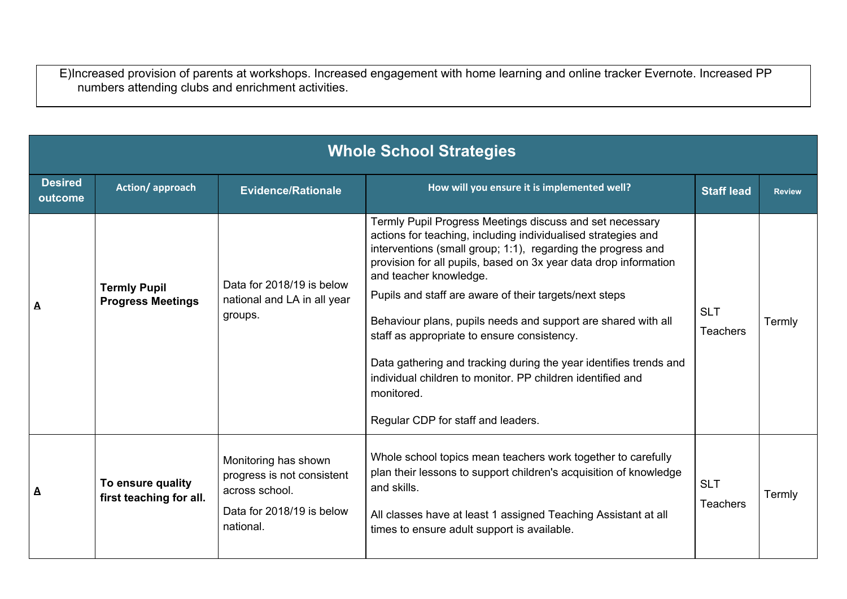E)Increased provision of parents at workshops. Increased engagement with home learning and online tracker Evernote. Increased PP numbers attending clubs and enrichment activities.

|                           | <b>Whole School Strategies</b>                  |                                                                                                                |                                                                                                                                                                                                                                                                                                                                                                                                                                                                                                                                                                                                                                                          |                               |               |  |
|---------------------------|-------------------------------------------------|----------------------------------------------------------------------------------------------------------------|----------------------------------------------------------------------------------------------------------------------------------------------------------------------------------------------------------------------------------------------------------------------------------------------------------------------------------------------------------------------------------------------------------------------------------------------------------------------------------------------------------------------------------------------------------------------------------------------------------------------------------------------------------|-------------------------------|---------------|--|
| <b>Desired</b><br>outcome | Action/approach                                 | <b>Evidence/Rationale</b>                                                                                      | How will you ensure it is implemented well?                                                                                                                                                                                                                                                                                                                                                                                                                                                                                                                                                                                                              | <b>Staff lead</b>             | <b>Review</b> |  |
| A                         | <b>Termly Pupil</b><br><b>Progress Meetings</b> | Data for 2018/19 is below<br>national and LA in all year<br>groups.                                            | Termly Pupil Progress Meetings discuss and set necessary<br>actions for teaching, including individualised strategies and<br>interventions (small group; 1:1), regarding the progress and<br>provision for all pupils, based on 3x year data drop information<br>and teacher knowledge.<br>Pupils and staff are aware of their targets/next steps<br>Behaviour plans, pupils needs and support are shared with all<br>staff as appropriate to ensure consistency.<br>Data gathering and tracking during the year identifies trends and<br>individual children to monitor. PP children identified and<br>monitored.<br>Regular CDP for staff and leaders. | <b>SLT</b><br><b>Teachers</b> | Termly        |  |
| A                         | To ensure quality<br>first teaching for all.    | Monitoring has shown<br>progress is not consistent<br>across school.<br>Data for 2018/19 is below<br>national. | Whole school topics mean teachers work together to carefully<br>plan their lessons to support children's acquisition of knowledge<br>and skills.<br>All classes have at least 1 assigned Teaching Assistant at all<br>times to ensure adult support is available.                                                                                                                                                                                                                                                                                                                                                                                        | <b>SLT</b><br><b>Teachers</b> | Termly        |  |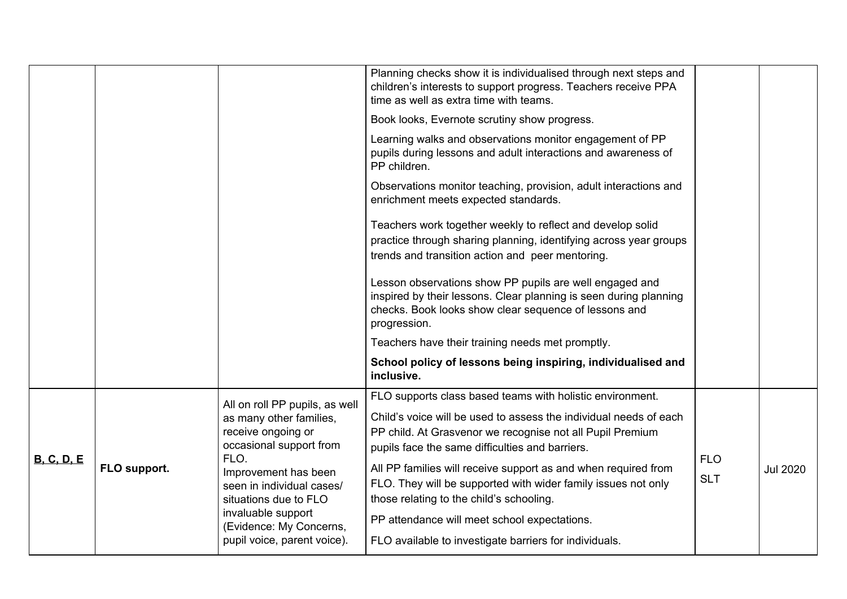|                   |              |                                                                                                                                                                                                                                                                                  | Planning checks show it is individualised through next steps and<br>children's interests to support progress. Teachers receive PPA<br>time as well as extra time with teams.<br>Book looks, Evernote scrutiny show progress.<br>Learning walks and observations monitor engagement of PP<br>pupils during lessons and adult interactions and awareness of<br>PP children.<br>Observations monitor teaching, provision, adult interactions and<br>enrichment meets expected standards.<br>Teachers work together weekly to reflect and develop solid<br>practice through sharing planning, identifying across year groups<br>trends and transition action and peer mentoring.<br>Lesson observations show PP pupils are well engaged and<br>inspired by their lessons. Clear planning is seen during planning<br>checks. Book looks show clear sequence of lessons and<br>progression.<br>Teachers have their training needs met promptly. |                          |                 |
|-------------------|--------------|----------------------------------------------------------------------------------------------------------------------------------------------------------------------------------------------------------------------------------------------------------------------------------|-------------------------------------------------------------------------------------------------------------------------------------------------------------------------------------------------------------------------------------------------------------------------------------------------------------------------------------------------------------------------------------------------------------------------------------------------------------------------------------------------------------------------------------------------------------------------------------------------------------------------------------------------------------------------------------------------------------------------------------------------------------------------------------------------------------------------------------------------------------------------------------------------------------------------------------------|--------------------------|-----------------|
|                   |              |                                                                                                                                                                                                                                                                                  | School policy of lessons being inspiring, individualised and<br>inclusive.                                                                                                                                                                                                                                                                                                                                                                                                                                                                                                                                                                                                                                                                                                                                                                                                                                                                |                          |                 |
| <b>B. C. D. E</b> | FLO support. | All on roll PP pupils, as well<br>as many other families,<br>receive ongoing or<br>occasional support from<br>FLO.<br>Improvement has been<br>seen in individual cases/<br>situations due to FLO<br>invaluable support<br>(Evidence: My Concerns,<br>pupil voice, parent voice). | FLO supports class based teams with holistic environment.<br>Child's voice will be used to assess the individual needs of each<br>PP child. At Grasvenor we recognise not all Pupil Premium<br>pupils face the same difficulties and barriers.<br>All PP families will receive support as and when required from<br>FLO. They will be supported with wider family issues not only<br>those relating to the child's schooling.<br>PP attendance will meet school expectations.<br>FLO available to investigate barriers for individuals.                                                                                                                                                                                                                                                                                                                                                                                                   | <b>FLO</b><br><b>SLT</b> | <b>Jul 2020</b> |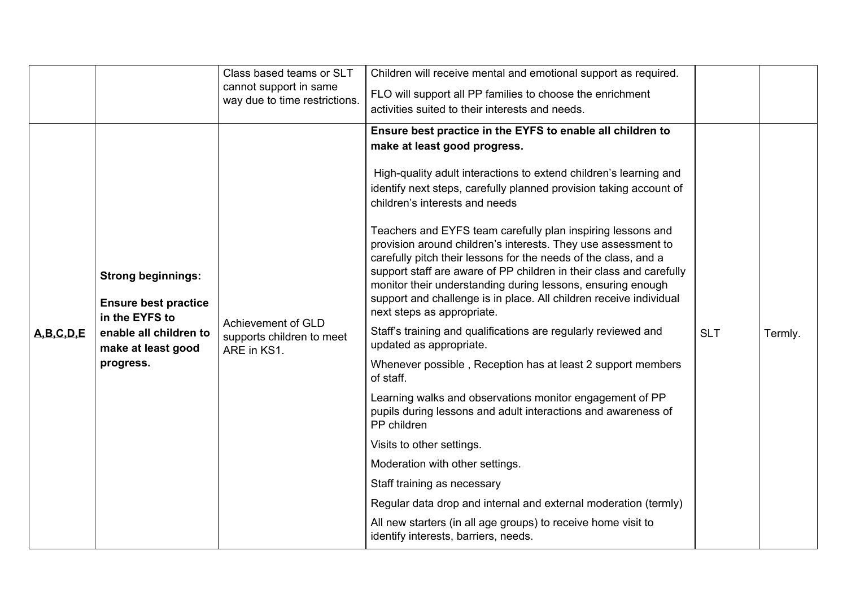|               |                                                                                                                                         | Class based teams or SLT<br>cannot support in same<br>way due to time restrictions. | Children will receive mental and emotional support as required.<br>FLO will support all PP families to choose the enrichment<br>activities suited to their interests and needs.                                                                                                                                                                                                                                                                                                                                                                                                                                                                                                                                                                                                                                                                                                                                                                                                                                                                                                                                                                                                                                                                                                                                      |            |         |
|---------------|-----------------------------------------------------------------------------------------------------------------------------------------|-------------------------------------------------------------------------------------|----------------------------------------------------------------------------------------------------------------------------------------------------------------------------------------------------------------------------------------------------------------------------------------------------------------------------------------------------------------------------------------------------------------------------------------------------------------------------------------------------------------------------------------------------------------------------------------------------------------------------------------------------------------------------------------------------------------------------------------------------------------------------------------------------------------------------------------------------------------------------------------------------------------------------------------------------------------------------------------------------------------------------------------------------------------------------------------------------------------------------------------------------------------------------------------------------------------------------------------------------------------------------------------------------------------------|------------|---------|
| A, B, C, D, E | <b>Strong beginnings:</b><br><b>Ensure best practice</b><br>in the EYFS to<br>enable all children to<br>make at least good<br>progress. | Achievement of GLD<br>supports children to meet<br>ARE in KS1.                      | Ensure best practice in the EYFS to enable all children to<br>make at least good progress.<br>High-quality adult interactions to extend children's learning and<br>identify next steps, carefully planned provision taking account of<br>children's interests and needs<br>Teachers and EYFS team carefully plan inspiring lessons and<br>provision around children's interests. They use assessment to<br>carefully pitch their lessons for the needs of the class, and a<br>support staff are aware of PP children in their class and carefully<br>monitor their understanding during lessons, ensuring enough<br>support and challenge is in place. All children receive individual<br>next steps as appropriate.<br>Staff's training and qualifications are regularly reviewed and<br>updated as appropriate.<br>Whenever possible, Reception has at least 2 support members<br>of staff.<br>Learning walks and observations monitor engagement of PP<br>pupils during lessons and adult interactions and awareness of<br>PP children<br>Visits to other settings.<br>Moderation with other settings.<br>Staff training as necessary<br>Regular data drop and internal and external moderation (termly)<br>All new starters (in all age groups) to receive home visit to<br>identify interests, barriers, needs. | <b>SLT</b> | Termly. |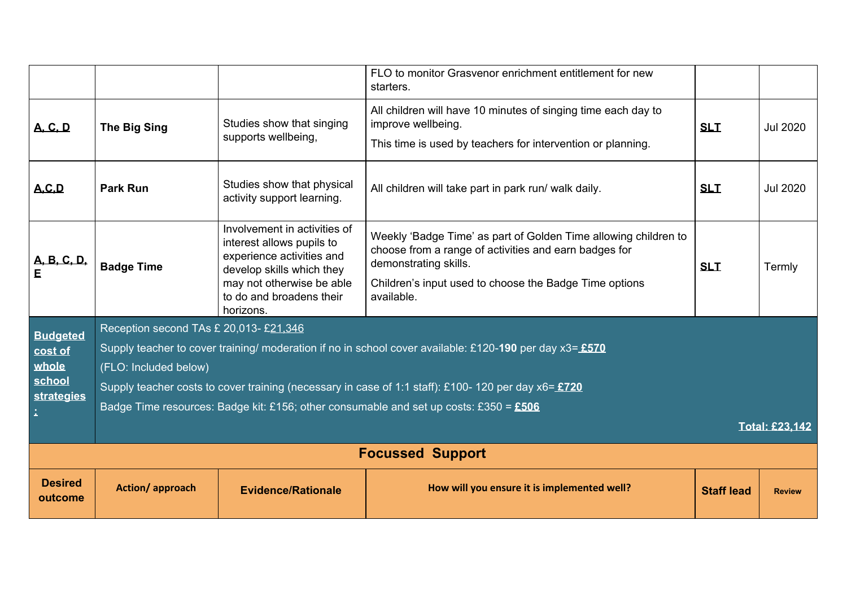|                           |                                                                                                         |                                                                                                                     | FLO to monitor Grasvenor enrichment entitlement for new<br>starters.                                                                              |                   |                 |  |  |
|---------------------------|---------------------------------------------------------------------------------------------------------|---------------------------------------------------------------------------------------------------------------------|---------------------------------------------------------------------------------------------------------------------------------------------------|-------------------|-----------------|--|--|
| <b>A.C.D</b>              | <b>The Big Sing</b>                                                                                     | Studies show that singing<br>supports wellbeing,                                                                    | All children will have 10 minutes of singing time each day to<br>improve wellbeing.                                                               | <b>SLT</b>        | <b>Jul 2020</b> |  |  |
|                           |                                                                                                         |                                                                                                                     | This time is used by teachers for intervention or planning.                                                                                       |                   |                 |  |  |
| A, C, D                   | <b>Park Run</b>                                                                                         | Studies show that physical<br>activity support learning.                                                            | All children will take part in park run/ walk daily.                                                                                              | <b>SLT</b>        | <b>Jul 2020</b> |  |  |
|                           | <b>Badge Time</b>                                                                                       | Involvement in activities of<br>interest allows pupils to<br>experience activities and<br>develop skills which they | Weekly 'Badge Time' as part of Golden Time allowing children to<br>choose from a range of activities and earn badges for<br>demonstrating skills. | <b>SLT</b>        | Termly          |  |  |
|                           |                                                                                                         | may not otherwise be able<br>to do and broadens their<br>horizons.                                                  | Children's input used to choose the Badge Time options<br>available.                                                                              |                   |                 |  |  |
| <b>Budgeted</b>           | Reception second TAs £ 20,013- £21,346                                                                  |                                                                                                                     |                                                                                                                                                   |                   |                 |  |  |
| cost of                   | Supply teacher to cover training/ moderation if no in school cover available: £120-190 per day x3= £570 |                                                                                                                     |                                                                                                                                                   |                   |                 |  |  |
| whole                     | (FLO: Included below)                                                                                   |                                                                                                                     |                                                                                                                                                   |                   |                 |  |  |
| school<br>strategies      |                                                                                                         |                                                                                                                     | Supply teacher costs to cover training (necessary in case of 1:1 staff): £100-120 per day x6= £720                                                |                   |                 |  |  |
|                           |                                                                                                         |                                                                                                                     | Badge Time resources: Badge kit: £156; other consumable and set up costs: £350 = $£506$                                                           |                   |                 |  |  |
|                           | <b>Total: £23.142</b>                                                                                   |                                                                                                                     |                                                                                                                                                   |                   |                 |  |  |
|                           | <b>Focussed Support</b>                                                                                 |                                                                                                                     |                                                                                                                                                   |                   |                 |  |  |
| <b>Desired</b><br>outcome | Action/approach                                                                                         | <b>Evidence/Rationale</b>                                                                                           | How will you ensure it is implemented well?                                                                                                       | <b>Staff lead</b> | <b>Review</b>   |  |  |
|                           |                                                                                                         |                                                                                                                     |                                                                                                                                                   |                   |                 |  |  |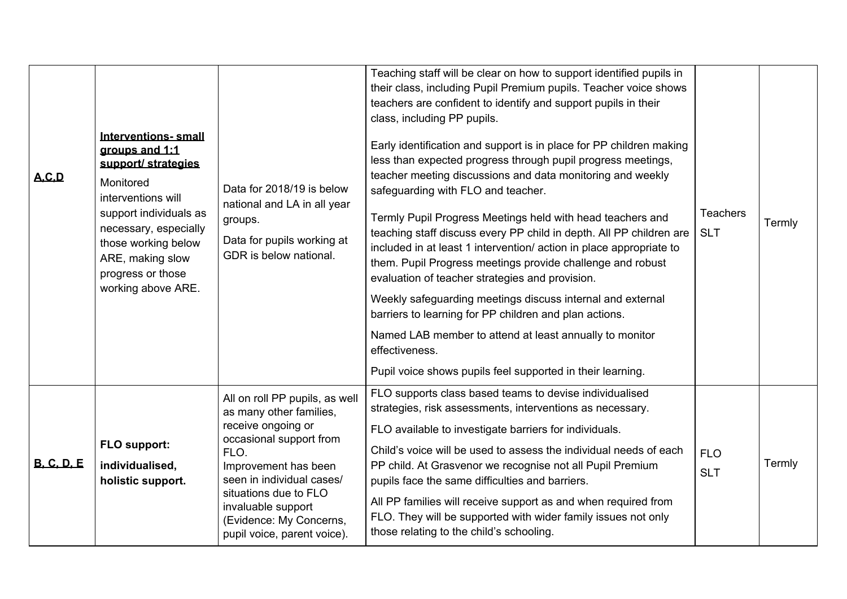| A.C.D             | <b>Interventions-small</b><br>groups and 1:1<br>support/ strategies<br>Monitored<br>interventions will<br>support individuals as<br>necessary, especially<br>those working below<br>ARE, making slow<br>progress or those<br>working above ARE. | Data for 2018/19 is below<br>national and LA in all year<br>groups.<br>Data for pupils working at<br>GDR is below national.                                                                                                                                                      | Teaching staff will be clear on how to support identified pupils in<br>their class, including Pupil Premium pupils. Teacher voice shows<br>teachers are confident to identify and support pupils in their<br>class, including PP pupils.<br>Early identification and support is in place for PP children making<br>less than expected progress through pupil progress meetings,<br>teacher meeting discussions and data monitoring and weekly<br>safeguarding with FLO and teacher.<br>Termly Pupil Progress Meetings held with head teachers and<br>teaching staff discuss every PP child in depth. All PP children are<br>included in at least 1 intervention/ action in place appropriate to<br>them. Pupil Progress meetings provide challenge and robust<br>evaluation of teacher strategies and provision.<br>Weekly safeguarding meetings discuss internal and external<br>barriers to learning for PP children and plan actions.<br>Named LAB member to attend at least annually to monitor<br>effectiveness.<br>Pupil voice shows pupils feel supported in their learning. | <b>Teachers</b><br><b>SLT</b> | Termly |
|-------------------|-------------------------------------------------------------------------------------------------------------------------------------------------------------------------------------------------------------------------------------------------|----------------------------------------------------------------------------------------------------------------------------------------------------------------------------------------------------------------------------------------------------------------------------------|-------------------------------------------------------------------------------------------------------------------------------------------------------------------------------------------------------------------------------------------------------------------------------------------------------------------------------------------------------------------------------------------------------------------------------------------------------------------------------------------------------------------------------------------------------------------------------------------------------------------------------------------------------------------------------------------------------------------------------------------------------------------------------------------------------------------------------------------------------------------------------------------------------------------------------------------------------------------------------------------------------------------------------------------------------------------------------------|-------------------------------|--------|
| <b>B. C. D. E</b> | FLO support:<br>individualised,<br>holistic support.                                                                                                                                                                                            | All on roll PP pupils, as well<br>as many other families,<br>receive ongoing or<br>occasional support from<br>FLO.<br>Improvement has been<br>seen in individual cases/<br>situations due to FLO<br>invaluable support<br>(Evidence: My Concerns,<br>pupil voice, parent voice). | FLO supports class based teams to devise individualised<br>strategies, risk assessments, interventions as necessary.<br>FLO available to investigate barriers for individuals.<br>Child's voice will be used to assess the individual needs of each<br>PP child. At Grasvenor we recognise not all Pupil Premium<br>pupils face the same difficulties and barriers.<br>All PP families will receive support as and when required from<br>FLO. They will be supported with wider family issues not only<br>those relating to the child's schooling.                                                                                                                                                                                                                                                                                                                                                                                                                                                                                                                                  | <b>FLO</b><br><b>SLT</b>      | Termly |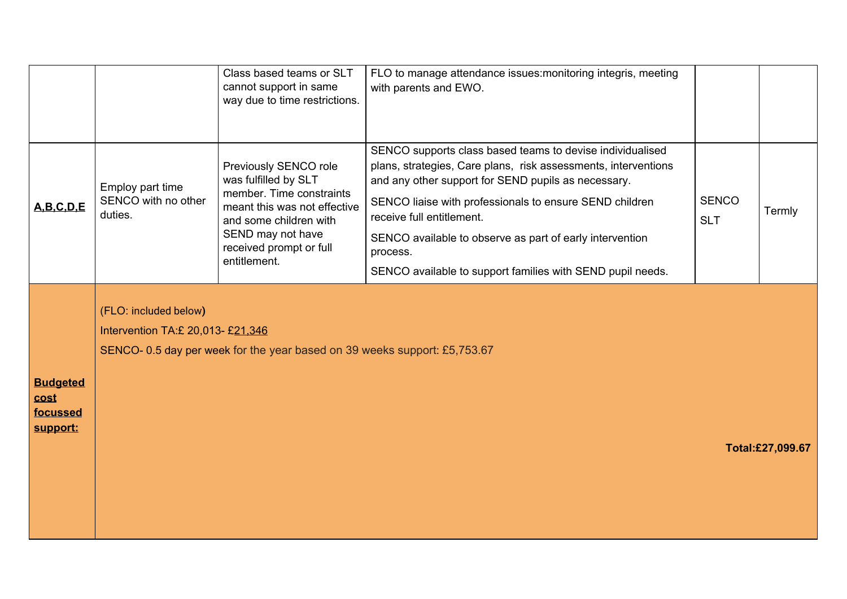|                                                 |                                                             | Class based teams or SLT<br>cannot support in same<br>way due to time restrictions.                                                                                                                 | FLO to manage attendance issues: monitoring integris, meeting<br>with parents and EWO.                                                                                                                                                                                                                                                                                                                           |                            |                  |
|-------------------------------------------------|-------------------------------------------------------------|-----------------------------------------------------------------------------------------------------------------------------------------------------------------------------------------------------|------------------------------------------------------------------------------------------------------------------------------------------------------------------------------------------------------------------------------------------------------------------------------------------------------------------------------------------------------------------------------------------------------------------|----------------------------|------------------|
| A.B.C.D.E                                       | Employ part time<br>SENCO with no other<br>duties.          | Previously SENCO role<br>was fulfilled by SLT<br>member. Time constraints<br>meant this was not effective<br>and some children with<br>SEND may not have<br>received prompt or full<br>entitlement. | SENCO supports class based teams to devise individualised<br>plans, strategies, Care plans, risk assessments, interventions<br>and any other support for SEND pupils as necessary.<br>SENCO liaise with professionals to ensure SEND children<br>receive full entitlement.<br>SENCO available to observe as part of early intervention<br>process.<br>SENCO available to support families with SEND pupil needs. | <b>SENCO</b><br><b>SLT</b> | Termly           |
| <b>Budgeted</b><br>cost<br>focussed<br>support: | (FLO: included below)<br>Intervention TA: £ 20,013- £21.346 | SENCO-0.5 day per week for the year based on 39 weeks support: £5,753.67                                                                                                                            |                                                                                                                                                                                                                                                                                                                                                                                                                  |                            | Total:£27,099.67 |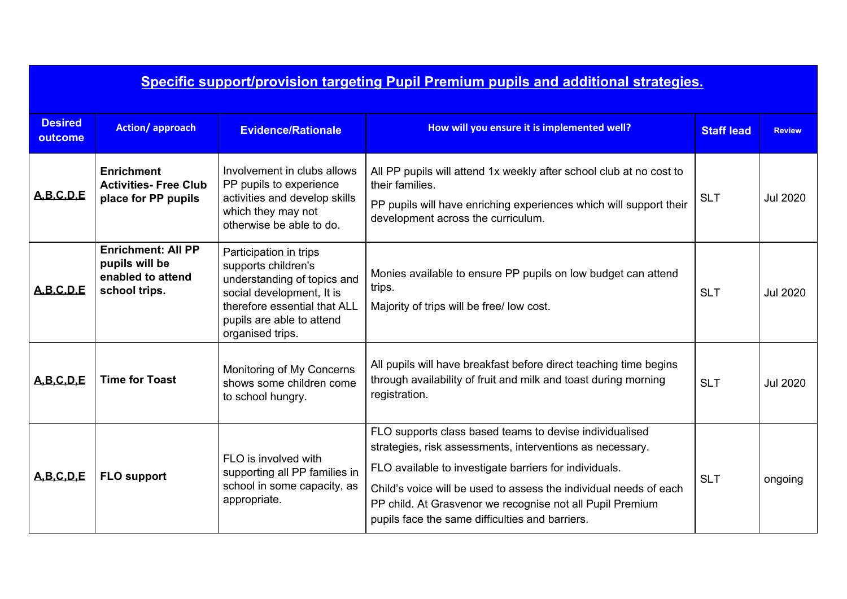|                           | Specific support/provision targeting Pupil Premium pupils and additional strategies. |                                                                                                                                                                                            |                                                                                                                                                                                                                                                                                                                                                                     |                   |                 |  |
|---------------------------|--------------------------------------------------------------------------------------|--------------------------------------------------------------------------------------------------------------------------------------------------------------------------------------------|---------------------------------------------------------------------------------------------------------------------------------------------------------------------------------------------------------------------------------------------------------------------------------------------------------------------------------------------------------------------|-------------------|-----------------|--|
| <b>Desired</b><br>outcome | <b>Action/approach</b>                                                               | <b>Evidence/Rationale</b>                                                                                                                                                                  | How will you ensure it is implemented well?                                                                                                                                                                                                                                                                                                                         | <b>Staff lead</b> | <b>Review</b>   |  |
| A, B, C, D, E             | <b>Enrichment</b><br><b>Activities- Free Club</b><br>place for PP pupils             | Involvement in clubs allows<br>PP pupils to experience<br>activities and develop skills<br>which they may not<br>otherwise be able to do.                                                  | All PP pupils will attend 1x weekly after school club at no cost to<br>their families.<br>PP pupils will have enriching experiences which will support their<br>development across the curriculum.                                                                                                                                                                  | <b>SLT</b>        | <b>Jul 2020</b> |  |
| A.B.C.D.E                 | <b>Enrichment: All PP</b><br>pupils will be<br>enabled to attend<br>school trips.    | Participation in trips<br>supports children's<br>understanding of topics and<br>social development, It is<br>therefore essential that ALL<br>pupils are able to attend<br>organised trips. | Monies available to ensure PP pupils on low budget can attend<br>trips.<br>Majority of trips will be free/ low cost.                                                                                                                                                                                                                                                | <b>SLT</b>        | <b>Jul 2020</b> |  |
| A, B, C, D, E             | <b>Time for Toast</b>                                                                | Monitoring of My Concerns<br>shows some children come<br>to school hungry.                                                                                                                 | All pupils will have breakfast before direct teaching time begins<br>through availability of fruit and milk and toast during morning<br>registration.                                                                                                                                                                                                               | <b>SLT</b>        | <b>Jul 2020</b> |  |
| A, B, C, D, E             | <b>FLO support</b>                                                                   | FLO is involved with<br>supporting all PP families in<br>school in some capacity, as<br>appropriate.                                                                                       | FLO supports class based teams to devise individualised<br>strategies, risk assessments, interventions as necessary.<br>FLO available to investigate barriers for individuals.<br>Child's voice will be used to assess the individual needs of each<br>PP child. At Grasvenor we recognise not all Pupil Premium<br>pupils face the same difficulties and barriers. | <b>SLT</b>        | ongoing         |  |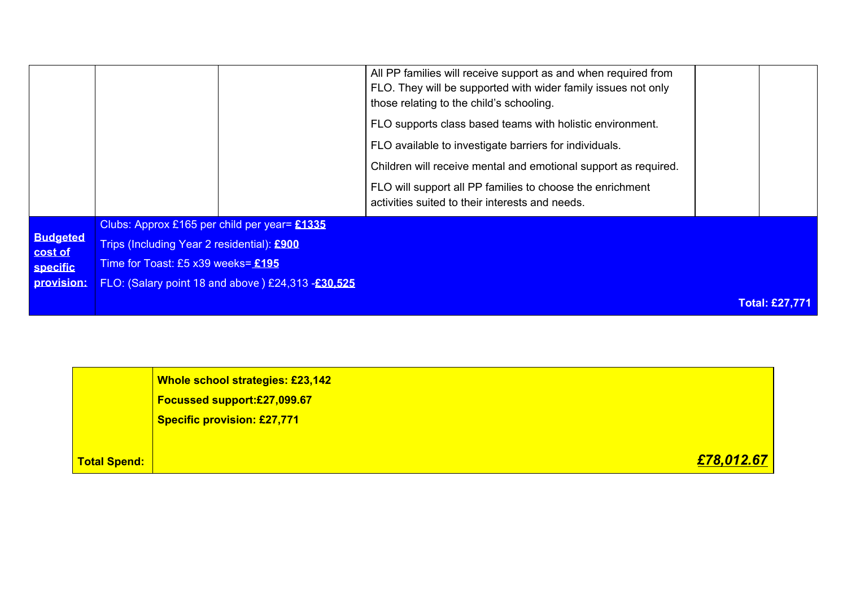|                     | <b>Whole school strategies: £23,142</b><br>Focussed support:£27,099.67 |
|---------------------|------------------------------------------------------------------------|
|                     | <b>Specific provision: £27,771</b>                                     |
| <b>Total Spend:</b> | £78,012.67                                                             |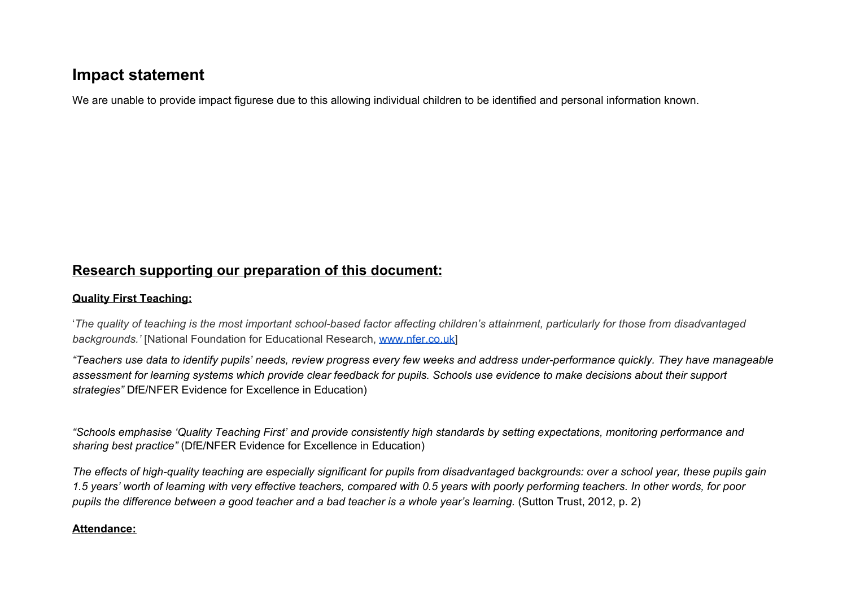# **Impact statement**

We are unable to provide impact figurese due to this allowing individual children to be identified and personal information known.

## **Research supporting our preparation of this document:**

### **Quality First Teaching:**

'The quality of teaching is the most important school-based factor affecting children's attainment, particularly for those from disadvantaged *backgrounds.'* [National Foundation for Educational Research, [www.nfer.co.uk\]](http://www.nfer.co.uk/)

"Teachers use data to identify pupils' needs, review progress every few weeks and address under-performance quickly. They have manageable assessment for learning systems which provide clear feedback for pupils. Schools use evidence to make decisions about their support *strategies"* DfE/NFER Evidence for Excellence in Education)

"Schools emphasise 'Quality Teaching First' and provide consistently high standards by setting expectations, monitoring performance and *sharing best practice"* (DfE/NFER Evidence for Excellence in Education)

The effects of high-quality teaching are especially significant for pupils from disadvantaged backgrounds; over a school year, these pupils gain 1.5 years' worth of learning with very effective teachers, compared with 0.5 years with poorly performing teachers. In other words, for poor pupils the difference between a good teacher and a bad teacher is a whole year's learning. (Sutton Trust, 2012, p. 2)

#### **Attendance:**